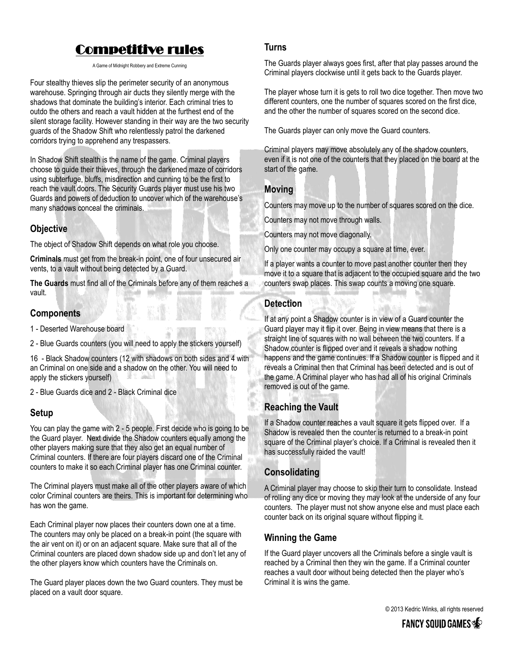# Competitive rules

A Game of Midnight Robbery and Extreme Cunning

Four stealthy thieves slip the perimeter security of an anonymous warehouse. Springing through air ducts they silently merge with the shadows that dominate the building's interior. Each criminal tries to outdo the others and reach a vault hidden at the furthest end of the silent storage facility. However standing in their way are the two security guards of the Shadow Shift who relentlessly patrol the darkened corridors trying to apprehend any trespassers.

In Shadow Shift stealth is the name of the game. Criminal players choose to guide their thieves, through the darkened maze of corridors using subterfuge, bluffs, misdirection and cunning to be the first to reach the vault doors. The Security Guards player must use his two Guards and powers of deduction to uncover which of the warehouse's many shadows conceal the criminals.

### **Objective**

The object of Shadow Shift depends on what role you choose.

**Criminals** must get from the break-in point, one of four unsecured air vents, to a vault without being detected by a Guard.

**The Guards** must find all of the Criminals before any of them reaches a vault.

#### **Components**

1 - Deserted Warehouse board

2 - Blue Guards counters (you will need to apply the stickers yourself)

16 - Black Shadow counters (12 with shadows on both sides and 4 with an Criminal on one side and a shadow on the other. You will need to apply the stickers yourself)

2 - Blue Guards dice and 2 - Black Criminal dice

### **Setup**

You can play the game with 2 - 5 people. First decide who is going to be the Guard player. Next divide the Shadow counters equally among the other players making sure that they also get an equal number of Criminal counters. If there are four players discard one of the Criminal counters to make it so each Criminal player has one Criminal counter.

The Criminal players must make all of the other players aware of which color Criminal counters are theirs. This is important for determining who has won the game.

Each Criminal player now places their counters down one at a time. The counters may only be placed on a break-in point (the square with the air vent on it) or on an adjacent square. Make sure that all of the Criminal counters are placed down shadow side up and don't let any of the other players know which counters have the Criminals on.

The Guard player places down the two Guard counters. They must be placed on a vault door square.

#### **Turns**

The Guards player always goes first, after that play passes around the Criminal players clockwise until it gets back to the Guards player.

The player whose turn it is gets to roll two dice together. Then move two different counters, one the number of squares scored on the first dice, and the other the number of squares scored on the second dice.

The Guards player can only move the Guard counters.

Criminal players may move absolutely any of the shadow counters, even if it is not one of the counters that they placed on the board at the start of the game.

### **Moving**

Counters may move up to the number of squares scored on the dice.

Counters may not move through walls.

Counters may not move diagonally.

Only one counter may occupy a square at time, ever.

If a player wants a counter to move past another counter then they move it to a square that is adjacent to the occupied square and the two counters swap places. This swap counts a moving one square.

### **Detection**

If at any point a Shadow counter is in view of a Guard counter the Guard player may it flip it over. Being in view means that there is a straight line of squares with no wall between the two counters. If a Shadow counter is flipped over and it reveals a shadow nothing happens and the game continues. If a Shadow counter is flipped and it reveals a Criminal then that Criminal has been detected and is out of the game. A Criminal player who has had all of his original Criminals removed is out of the game.

### **Reaching the Vault**

If a Shadow counter reaches a vault square it gets flipped over. If a Shadow is revealed then the counter is returned to a break-in point square of the Criminal player's choice. If a Criminal is revealed then it has successfully raided the vault!

### **Consolidating**

A Criminal player may choose to skip their turn to consolidate. Instead of rolling any dice or moving they may look at the underside of any four counters. The player must not show anyone else and must place each counter back on its original square without flipping it.

### **Winning the Game**

If the Guard player uncovers all the Criminals before a single vault is reached by a Criminal then they win the game. If a Criminal counter reaches a vault door without being detected then the player who's Criminal it is wins the game.

© 2013 Kedric Winks, all rights reserved

**FANCY SQUID GAMES**